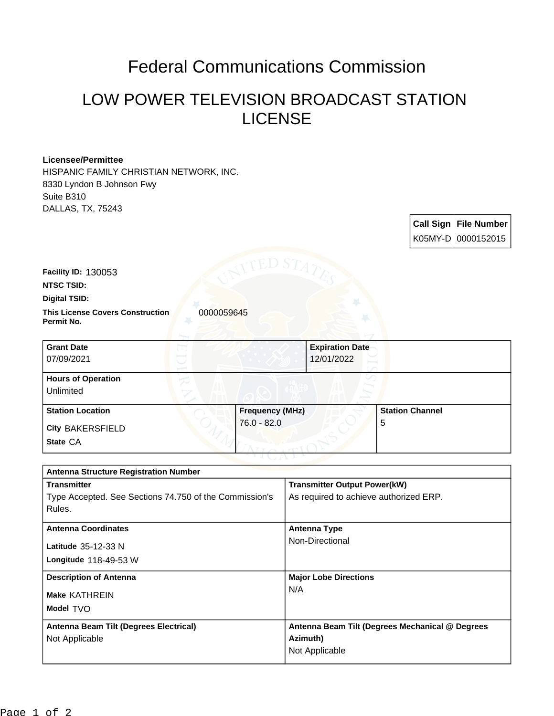## Federal Communications Commission

## LOW POWER TELEVISION BROADCAST STATION LICENSE

## **Licensee/Permittee**

HISPANIC FAMILY CHRISTIAN NETWORK, INC. 8330 Lyndon B Johnson Fwy Suite B310 DALLAS, TX, 75243

> **Call Sign File Number** K05MY-D 0000152015

**Facility ID:** 130053

**NTSC TSID:**

**Digital TSID:**

**This License Covers Construction 0000059645 Permit No.**

| <b>Grant Date</b>         |                        | <b>Expiration Date</b> |                        |
|---------------------------|------------------------|------------------------|------------------------|
| 07/09/2021                | 12/01/2022             |                        |                        |
| <b>Hours of Operation</b> |                        |                        |                        |
| Unlimited                 |                        |                        |                        |
| <b>Station Location</b>   | <b>Frequency (MHz)</b> |                        | <b>Station Channel</b> |
| <b>City BAKERSFIELD</b>   | $76.0 - 82.0$          | 5                      |                        |
| State CA                  |                        |                        |                        |

| <b>Antenna Structure Registration Number</b>           |                                                 |  |  |  |
|--------------------------------------------------------|-------------------------------------------------|--|--|--|
| <b>Transmitter</b>                                     | <b>Transmitter Output Power(kW)</b>             |  |  |  |
| Type Accepted. See Sections 74.750 of the Commission's | As required to achieve authorized ERP.          |  |  |  |
| Rules.                                                 |                                                 |  |  |  |
| <b>Antenna Coordinates</b>                             | <b>Antenna Type</b>                             |  |  |  |
| Latitude 35-12-33 N                                    | Non-Directional                                 |  |  |  |
| Longitude $118-49-53$ W                                |                                                 |  |  |  |
| <b>Description of Antenna</b>                          | <b>Major Lobe Directions</b>                    |  |  |  |
| <b>Make KATHREIN</b>                                   | N/A                                             |  |  |  |
| Model TVO                                              |                                                 |  |  |  |
| Antenna Beam Tilt (Degrees Electrical)                 | Antenna Beam Tilt (Degrees Mechanical @ Degrees |  |  |  |
| Not Applicable                                         | Azimuth)                                        |  |  |  |
|                                                        | Not Applicable                                  |  |  |  |